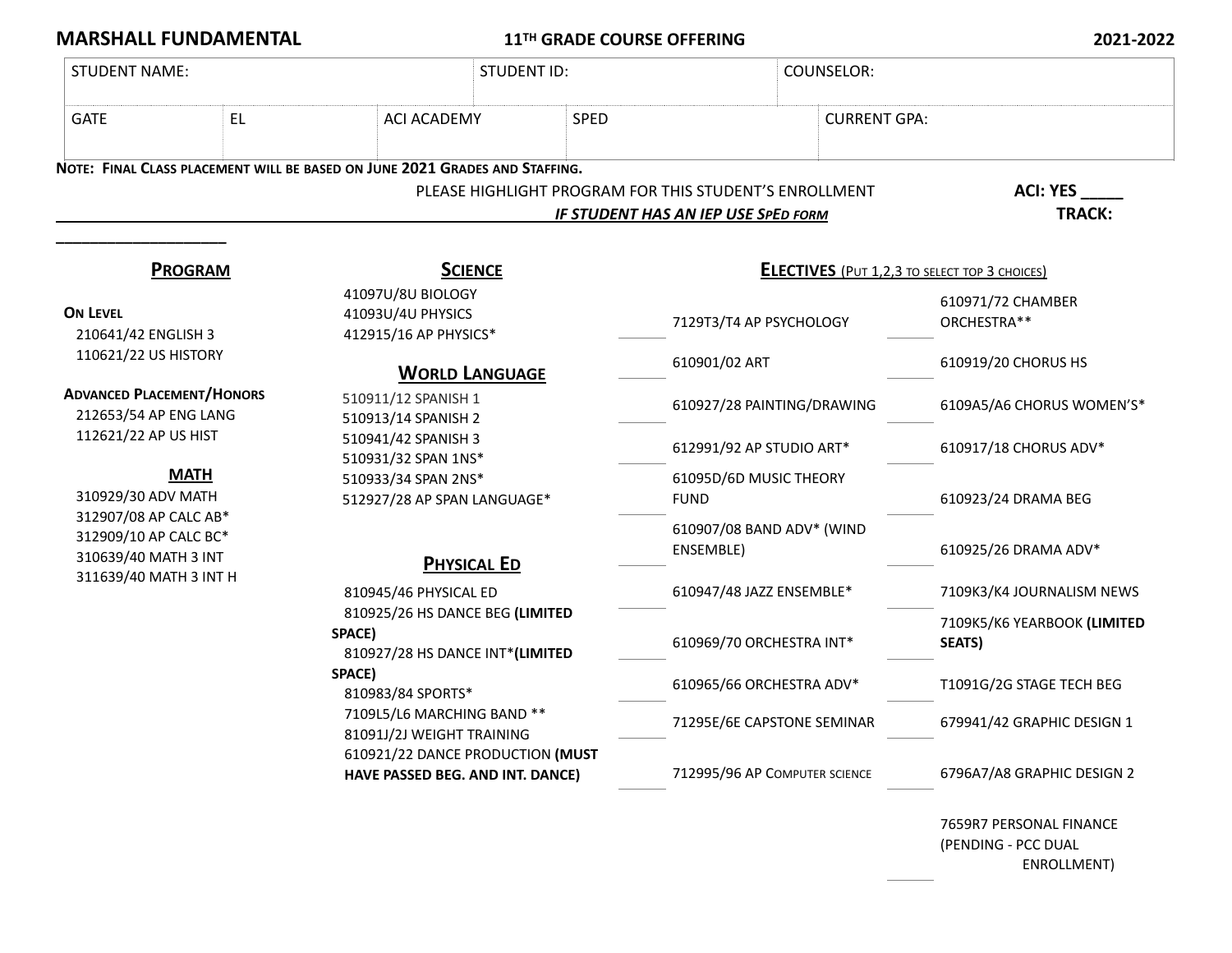**MARSHALL FUNDAMENTAL 11TH GRADE COURSE OFFERING 2021-2022**

| <b>STUDENT NAME:</b>                                                                                                                                                                                                                                                                                           |  |                                                                                                                                                                                                                                                                         | <b>STUDENT ID:</b>                                                                            |                               | <b>COUNSELOR:</b>                                    |  |
|----------------------------------------------------------------------------------------------------------------------------------------------------------------------------------------------------------------------------------------------------------------------------------------------------------------|--|-------------------------------------------------------------------------------------------------------------------------------------------------------------------------------------------------------------------------------------------------------------------------|-----------------------------------------------------------------------------------------------|-------------------------------|------------------------------------------------------|--|
| EL.<br><b>GATE</b>                                                                                                                                                                                                                                                                                             |  | <b>ACI ACADEMY</b>                                                                                                                                                                                                                                                      | <b>SPED</b>                                                                                   |                               | <b>CURRENT GPA:</b>                                  |  |
|                                                                                                                                                                                                                                                                                                                |  | NOTE: FINAL CLASS PLACEMENT WILL BE BASED ON JUNE 2021 GRADES AND STAFFING.                                                                                                                                                                                             | PLEASE HIGHLIGHT PROGRAM FOR THIS STUDENT'S ENROLLMENT<br>IF STUDENT HAS AN IEP USE SPED FORM |                               | <b>ACI: YES</b><br>TRACK:                            |  |
| <b>PROGRAM</b><br><b>ON LEVEL</b><br>210641/42 ENGLISH 3<br>110621/22 US HISTORY<br><b>ADVANCED PLACEMENT/HONORS</b><br>212653/54 AP ENG LANG<br>112621/22 AP US HIST<br><b>MATH</b><br>310929/30 ADV MATH<br>312907/08 AP CALC AB*<br>312909/10 AP CALC BC*<br>310639/40 MATH 3 INT<br>311639/40 MATH 3 INT H |  | <b>SCIENCE</b>                                                                                                                                                                                                                                                          |                                                                                               |                               | <b>ELECTIVES</b> (PUT 1,2,3 TO SELECT TOP 3 CHOICES) |  |
|                                                                                                                                                                                                                                                                                                                |  | 41097U/8U BIOLOGY<br>41093U/4U PHYSICS<br>412915/16 AP PHYSICS*                                                                                                                                                                                                         |                                                                                               | 7129T3/T4 AP PSYCHOLOGY       | 610971/72 CHAMBER<br>ORCHESTRA**                     |  |
|                                                                                                                                                                                                                                                                                                                |  | <b>WORLD LANGUAGE</b>                                                                                                                                                                                                                                                   | 610901/02 ART                                                                                 |                               | 610919/20 CHORUS HS                                  |  |
|                                                                                                                                                                                                                                                                                                                |  | 510911/12 SPANISH 1<br>510913/14 SPANISH 2<br>510941/42 SPANISH 3<br>510931/32 SPAN 1NS*<br>510933/34 SPAN 2NS*<br>512927/28 AP SPAN LANGUAGE*                                                                                                                          |                                                                                               | 610927/28 PAINTING/DRAWING    | 6109A5/A6 CHORUS WOMEN'S*                            |  |
|                                                                                                                                                                                                                                                                                                                |  |                                                                                                                                                                                                                                                                         |                                                                                               | 612991/92 AP STUDIO ART*      | 610917/18 CHORUS ADV*                                |  |
|                                                                                                                                                                                                                                                                                                                |  |                                                                                                                                                                                                                                                                         | <b>FUND</b>                                                                                   | 61095D/6D MUSIC THEORY        | 610923/24 DRAMA BEG                                  |  |
|                                                                                                                                                                                                                                                                                                                |  | <b>PHYSICAL ED</b>                                                                                                                                                                                                                                                      | ENSEMBLE)                                                                                     | 610907/08 BAND ADV* (WIND     | 610925/26 DRAMA ADV*                                 |  |
|                                                                                                                                                                                                                                                                                                                |  | 810945/46 PHYSICAL ED<br>810925/26 HS DANCE BEG (LIMITED<br>SPACE)<br>810927/28 HS DANCE INT*(LIMITED<br>SPACE)<br>810983/84 SPORTS*<br>7109L5/L6 MARCHING BAND **<br>81091J/2J WEIGHT TRAINING<br>610921/22 DANCE PRODUCTION (MUST<br>HAVE PASSED BEG. AND INT. DANCE) |                                                                                               | 610947/48 JAZZ ENSEMBLE*      | 7109K3/K4 JOURNALISM NEWS                            |  |
|                                                                                                                                                                                                                                                                                                                |  |                                                                                                                                                                                                                                                                         |                                                                                               | 610969/70 ORCHESTRA INT*      | 7109K5/K6 YEARBOOK (LIMITED<br><b>SEATS)</b>         |  |
|                                                                                                                                                                                                                                                                                                                |  |                                                                                                                                                                                                                                                                         |                                                                                               | 610965/66 ORCHESTRA ADV*      | T1091G/2G STAGE TECH BEG                             |  |
|                                                                                                                                                                                                                                                                                                                |  |                                                                                                                                                                                                                                                                         |                                                                                               | 71295E/6E CAPSTONE SEMINAR    | 679941/42 GRAPHIC DESIGN 1                           |  |
|                                                                                                                                                                                                                                                                                                                |  |                                                                                                                                                                                                                                                                         |                                                                                               | 712995/96 AP COMPUTER SCIENCE | 6796A7/A8 GRAPHIC DESIGN 2                           |  |

7659R7 PERSONAL FINANCE (PENDING - PCC DUAL ENROLLMENT)